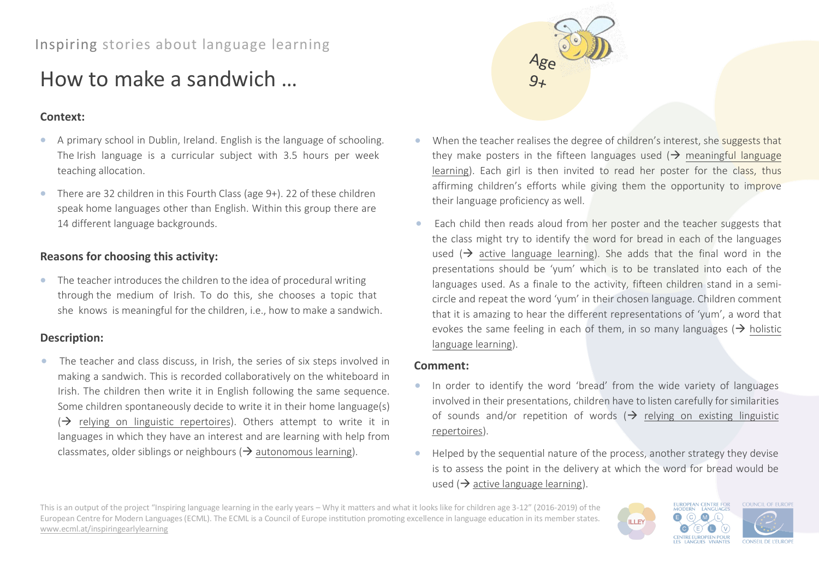# How to make a sandwich …

## **Context:**

- A primary school in Dublin, Ireland. English is the language of schooling. The Irish language is a curricular subject with 3.5 hours per week teaching allocation.
- There are 32 children in this Fourth Class (age 9+). 22 of these children speak home languages other than English. Within this group there are 14 different language backgrounds.

# **Reasons for choosing this activity:**

• The teacher introduces the children to the idea of procedural writing through the medium of Irish. To do this, she chooses a topic that she knows is meaningful for the children, i.e., how to make a sandwich.

## **Description:**

The teacher and class discuss, in Irish, the series of six steps involved in making a sandwich. This is recorded collaboratively on the whiteboard in Irish. The children then write it in English following the same sequence. Some children spontaneously decide to write it in their home language(s)  $\Theta$  relying on linguistic repertoires). Others attempt to write it in languages in which they have an interest and are learning with help from classmates, older siblings or neighbours ( $\rightarrow$  autonomous learning).



- When the teacher realises the degree of children's interest, she suggests that they make posters in the fifteen languages used  $\rightarrow$  meaningful language learning). Each girl is then invited to read her poster for the class, thus affirming children's efforts while giving them the opportunity to improve their language proficiency as well.
- Each child then reads aloud from her poster and the teacher suggests that the class might try to identify the word for bread in each of the languages used ( $\rightarrow$  active language learning). She adds that the final word in the presentations should be 'yum' which is to be translated into each of the languages used. As a finale to the activity, fifteen children stand in a semicircle and repeat the word 'yum' in their chosen language. Children comment that it is amazing to hear the different representations of 'yum', a word that evokes the same feeling in each of them, in so many languages ( $\rightarrow$  holistic language learning).

### **Comment:**

- In order to identify the word 'bread' from the wide variety of languages involved in their presentations, children have to listen carefully for similarities of sounds and/or repetition of words  $(\rightarrow)$  relying on existing linguistic repertoires).
- Helped by the sequential nature of the process, another strategy they devise is to assess the point in the delivery at which the word for bread would be used ( $\rightarrow$  active language learning).

**ILLEY** 

This is an output of the project "Inspiring language learning in the early years – Why it matters and what it looks like for children age 3-12" (2016-2019) of the European Centre for Modern Languages (ECML). The ECML is a Council of Europe institution promoting excellence in language education in its member states. [www.ecml.at/inspiringearlylearning](http://www.ecml.at/inspiringearlylearning)

EUROPEAN CENTRE FOR<br>MODERN LANGUAGES **COUNCIL OF EUROPI**  $\odot$  $M<sub>1</sub>$ **CENTRE EUROPEEN POUR CONSEIL DE L'EUROE**